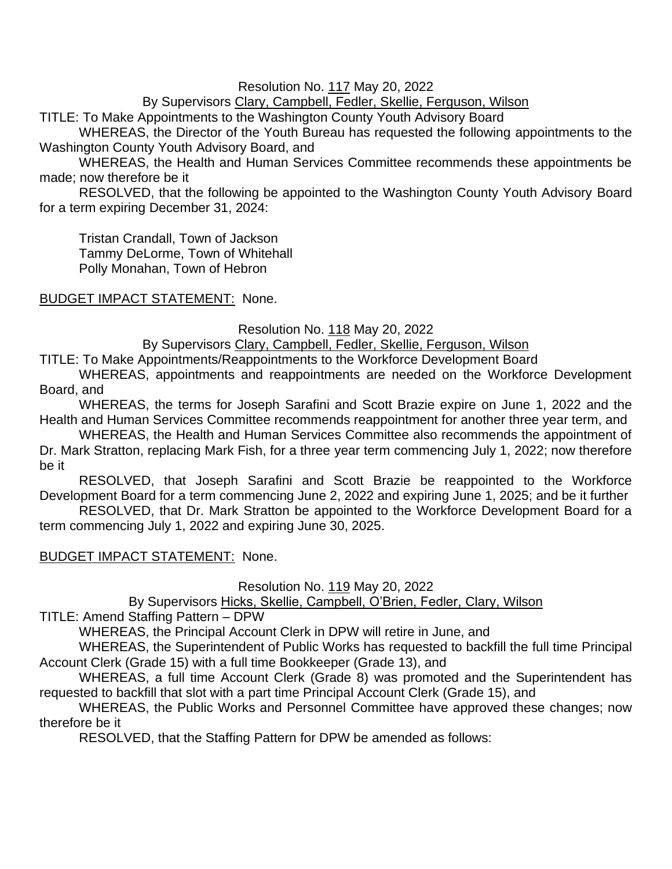### Resolution No. 117 May 20, 2022

By Supervisors Clary, Campbell, Fedler, Skellie, Ferguson, Wilson

TITLE: To Make Appointments to the Washington County Youth Advisory Board

WHEREAS, the Director of the Youth Bureau has requested the following appointments to the Washington County Youth Advisory Board, and

WHEREAS, the Health and Human Services Committee recommends these appointments be made; now therefore be it

RESOLVED, that the following be appointed to the Washington County Youth Advisory Board for a term expiring December 31, 2024:

Tristan Crandall, Town of Jackson Tammy DeLorme, Town of Whitehall Polly Monahan, Town of Hebron

## BUDGET IMPACT STATEMENT: None.

Resolution No. 118 May 20, 2022

By Supervisors Clary, Campbell, Fedler, Skellie, Ferguson, Wilson

TITLE: To Make Appointments/Reappointments to the Workforce Development Board

WHEREAS, appointments and reappointments are needed on the Workforce Development Board, and

WHEREAS, the terms for Joseph Sarafini and Scott Brazie expire on June 1, 2022 and the Health and Human Services Committee recommends reappointment for another three year term, and

WHEREAS, the Health and Human Services Committee also recommends the appointment of Dr. Mark Stratton, replacing Mark Fish, for a three year term commencing July 1, 2022; now therefore be it

RESOLVED, that Joseph Sarafini and Scott Brazie be reappointed to the Workforce Development Board for a term commencing June 2, 2022 and expiring June 1, 2025; and be it further

RESOLVED, that Dr. Mark Stratton be appointed to the Workforce Development Board for a term commencing July 1, 2022 and expiring June 30, 2025.

## BUDGET IMPACT STATEMENT: None.

Resolution No. 119 May 20, 2022

By Supervisors Hicks, Skellie, Campbell, O'Brien, Fedler, Clary, Wilson

TITLE: Amend Staffing Pattern – DPW

WHEREAS, the Principal Account Clerk in DPW will retire in June, and

WHEREAS, the Superintendent of Public Works has requested to backfill the full time Principal Account Clerk (Grade 15) with a full time Bookkeeper (Grade 13), and

WHEREAS, a full time Account Clerk (Grade 8) was promoted and the Superintendent has requested to backfill that slot with a part time Principal Account Clerk (Grade 15), and

WHEREAS, the Public Works and Personnel Committee have approved these changes; now therefore be it

RESOLVED, that the Staffing Pattern for DPW be amended as follows: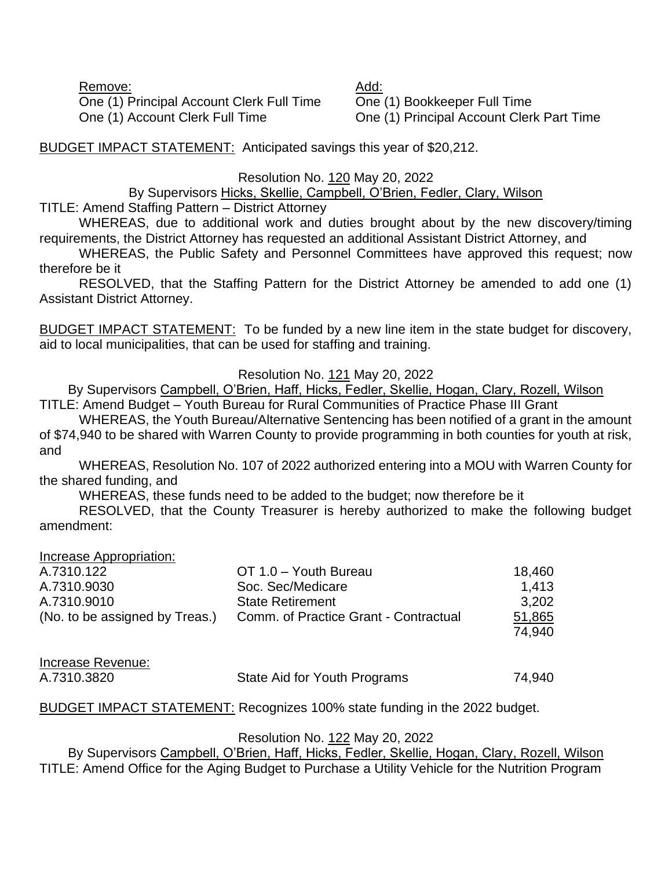Remove: Add: One (1) Principal Account Clerk Full Time One (1) Bookkeeper Full Time One (1) Account Clerk Full Time One (1) Principal Account Clerk Part Time

BUDGET IMPACT STATEMENT: Anticipated savings this year of \$20,212.

### Resolution No. 120 May 20, 2022

### By Supervisors Hicks, Skellie, Campbell, O'Brien, Fedler, Clary, Wilson

TITLE: Amend Staffing Pattern – District Attorney

WHEREAS, due to additional work and duties brought about by the new discovery/timing requirements, the District Attorney has requested an additional Assistant District Attorney, and

WHEREAS, the Public Safety and Personnel Committees have approved this request; now therefore be it

RESOLVED, that the Staffing Pattern for the District Attorney be amended to add one (1) Assistant District Attorney.

BUDGET IMPACT STATEMENT: To be funded by a new line item in the state budget for discovery, aid to local municipalities, that can be used for staffing and training.

### Resolution No. 121 May 20, 2022

By Supervisors Campbell, O'Brien, Haff, Hicks, Fedler, Skellie, Hogan, Clary, Rozell, Wilson TITLE: Amend Budget – Youth Bureau for Rural Communities of Practice Phase III Grant

WHEREAS, the Youth Bureau/Alternative Sentencing has been notified of a grant in the amount of \$74,940 to be shared with Warren County to provide programming in both counties for youth at risk, and

WHEREAS, Resolution No. 107 of 2022 authorized entering into a MOU with Warren County for the shared funding, and

WHEREAS, these funds need to be added to the budget; now therefore be it

RESOLVED, that the County Treasurer is hereby authorized to make the following budget amendment:

Increase Appropriation:

| A.7310.122                     | OT 1.0 - Youth Bureau                 | 18,460 |
|--------------------------------|---------------------------------------|--------|
| A.7310.9030                    | Soc. Sec/Medicare                     | 1.413  |
| A.7310.9010                    | <b>State Retirement</b>               | 3.202  |
| (No. to be assigned by Treas.) | Comm. of Practice Grant - Contractual | 51,865 |
|                                |                                       | 74.940 |

| Increase Revenue: |                              |        |
|-------------------|------------------------------|--------|
| A.7310.3820       | State Aid for Youth Programs | 74,940 |

BUDGET IMPACT STATEMENT: Recognizes 100% state funding in the 2022 budget.

### Resolution No. 122 May 20, 2022

By Supervisors Campbell, O'Brien, Haff, Hicks, Fedler, Skellie, Hogan, Clary, Rozell, Wilson TITLE: Amend Office for the Aging Budget to Purchase a Utility Vehicle for the Nutrition Program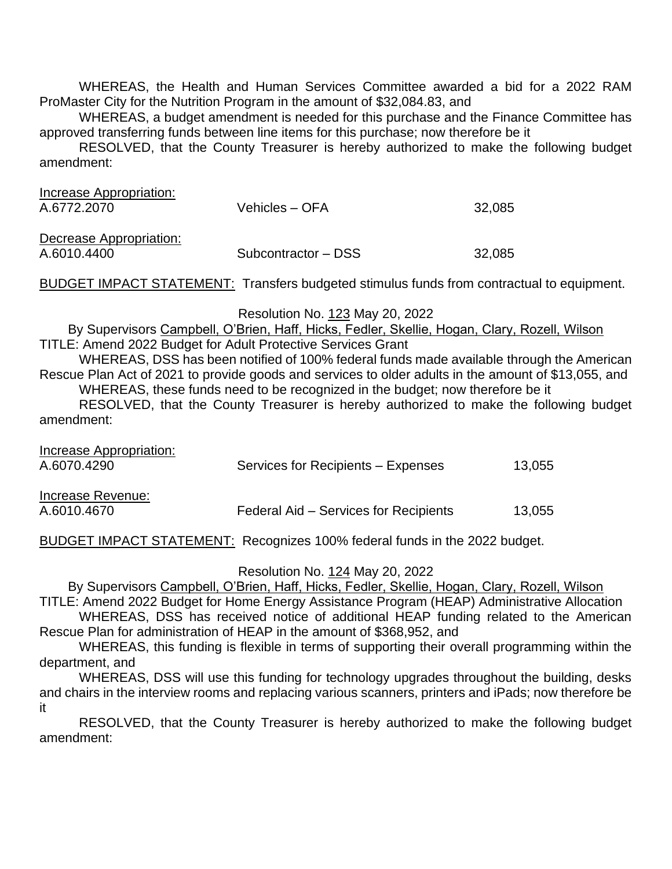WHEREAS, the Health and Human Services Committee awarded a bid for a 2022 RAM ProMaster City for the Nutrition Program in the amount of \$32,084.83, and

WHEREAS, a budget amendment is needed for this purchase and the Finance Committee has approved transferring funds between line items for this purchase; now therefore be it

RESOLVED, that the County Treasurer is hereby authorized to make the following budget amendment:

| Increase Appropriation:<br>A.6772.2070 | Vehicles – OFA      | 32,085 |
|----------------------------------------|---------------------|--------|
| Decrease Appropriation:<br>A.6010.4400 | Subcontractor – DSS | 32,085 |

BUDGET IMPACT STATEMENT: Transfers budgeted stimulus funds from contractual to equipment.

Resolution No. 123 May 20, 2022

By Supervisors Campbell, O'Brien, Haff, Hicks, Fedler, Skellie, Hogan, Clary, Rozell, Wilson

TITLE: Amend 2022 Budget for Adult Protective Services Grant

WHEREAS, DSS has been notified of 100% federal funds made available through the American Rescue Plan Act of 2021 to provide goods and services to older adults in the amount of \$13,055, and WHEREAS, these funds need to be recognized in the budget; now therefore be it

RESOLVED, that the County Treasurer is hereby authorized to make the following budget amendment:

| Increase Appropriation: |                                       |        |
|-------------------------|---------------------------------------|--------|
| A.6070.4290             | Services for Recipients - Expenses    | 13,055 |
|                         |                                       |        |
| Increase Revenue:       |                                       |        |
| A.6010.4670             | Federal Aid – Services for Recipients | 13,055 |
|                         |                                       |        |

BUDGET IMPACT STATEMENT: Recognizes 100% federal funds in the 2022 budget.

Resolution No. 124 May 20, 2022

By Supervisors Campbell, O'Brien, Haff, Hicks, Fedler, Skellie, Hogan, Clary, Rozell, Wilson

TITLE: Amend 2022 Budget for Home Energy Assistance Program (HEAP) Administrative Allocation WHEREAS, DSS has received notice of additional HEAP funding related to the American Rescue Plan for administration of HEAP in the amount of \$368,952, and

WHEREAS, this funding is flexible in terms of supporting their overall programming within the department, and

WHEREAS, DSS will use this funding for technology upgrades throughout the building, desks and chairs in the interview rooms and replacing various scanners, printers and iPads; now therefore be it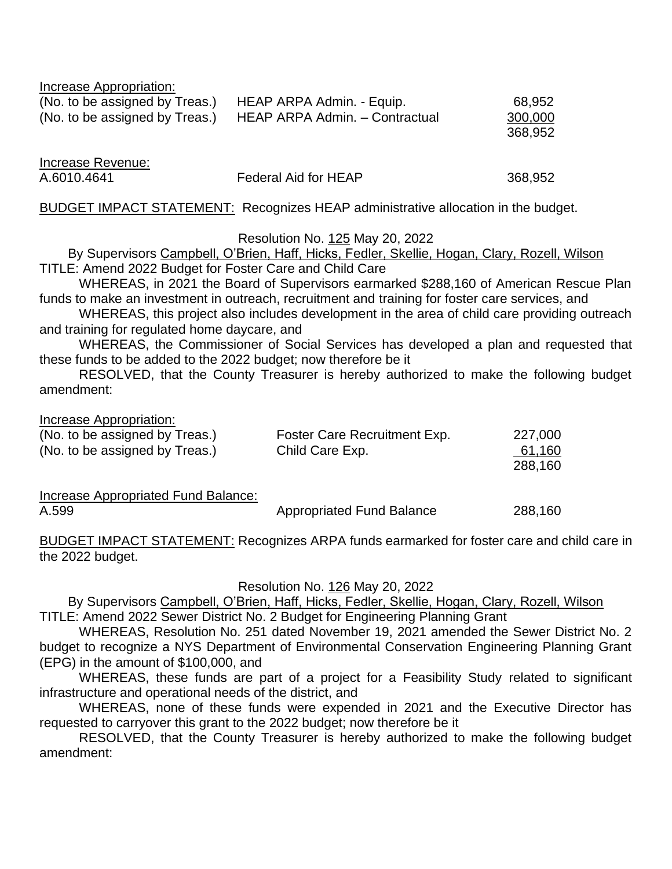| Increase Appropriation:        |                                |         |
|--------------------------------|--------------------------------|---------|
| (No. to be assigned by Treas.) | HEAP ARPA Admin. - Equip.      | 68,952  |
| (No. to be assigned by Treas.) | HEAP ARPA Admin. - Contractual | 300,000 |
|                                |                                | 368,952 |

Increase Revenue: A.6010.4641 Federal Aid for HEAP 368,952

BUDGET IMPACT STATEMENT: Recognizes HEAP administrative allocation in the budget.

Resolution No. 125 May 20, 2022

By Supervisors Campbell, O'Brien, Haff, Hicks, Fedler, Skellie, Hogan, Clary, Rozell, Wilson TITLE: Amend 2022 Budget for Foster Care and Child Care

WHEREAS, in 2021 the Board of Supervisors earmarked \$288,160 of American Rescue Plan funds to make an investment in outreach, recruitment and training for foster care services, and

WHEREAS, this project also includes development in the area of child care providing outreach and training for regulated home daycare, and

WHEREAS, the Commissioner of Social Services has developed a plan and requested that these funds to be added to the 2022 budget; now therefore be it

RESOLVED, that the County Treasurer is hereby authorized to make the following budget amendment:

Increase Appropriation:

| (No. to be assigned by Treas.) | Foster Care Recruitment Exp. | 227,000 |
|--------------------------------|------------------------------|---------|
| (No. to be assigned by Treas.) | Child Care Exp.              | 61,160  |
|                                |                              | 288,160 |

Increase Appropriated Fund Balance: A.599 **Appropriated Fund Balance** 288,160

BUDGET IMPACT STATEMENT: Recognizes ARPA funds earmarked for foster care and child care in the 2022 budget.

Resolution No. 126 May 20, 2022

By Supervisors Campbell, O'Brien, Haff, Hicks, Fedler, Skellie, Hogan, Clary, Rozell, Wilson TITLE: Amend 2022 Sewer District No. 2 Budget for Engineering Planning Grant

WHEREAS, Resolution No. 251 dated November 19, 2021 amended the Sewer District No. 2 budget to recognize a NYS Department of Environmental Conservation Engineering Planning Grant (EPG) in the amount of \$100,000, and

WHEREAS, these funds are part of a project for a Feasibility Study related to significant infrastructure and operational needs of the district, and

WHEREAS, none of these funds were expended in 2021 and the Executive Director has requested to carryover this grant to the 2022 budget; now therefore be it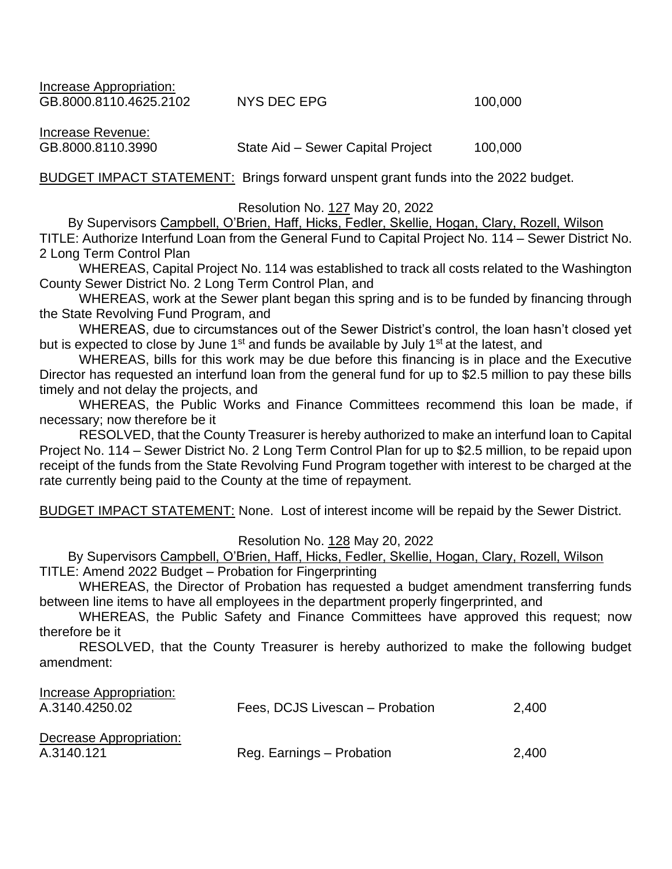Increase Appropriation: GB.8000.8110.4625.2102 NYS DEC EPG 100.000

Increase Revenue:

GB.8000.8110.3990 State Aid – Sewer Capital Project 100,000

BUDGET IMPACT STATEMENT: Brings forward unspent grant funds into the 2022 budget.

#### Resolution No. 127 May 20, 2022

By Supervisors Campbell, O'Brien, Haff, Hicks, Fedler, Skellie, Hogan, Clary, Rozell, Wilson TITLE: Authorize Interfund Loan from the General Fund to Capital Project No. 114 – Sewer District No. 2 Long Term Control Plan

WHEREAS, Capital Project No. 114 was established to track all costs related to the Washington County Sewer District No. 2 Long Term Control Plan, and

WHEREAS, work at the Sewer plant began this spring and is to be funded by financing through the State Revolving Fund Program, and

WHEREAS, due to circumstances out of the Sewer District's control, the loan hasn't closed yet but is expected to close by June  $1<sup>st</sup>$  and funds be available by July  $1<sup>st</sup>$  at the latest, and

WHEREAS, bills for this work may be due before this financing is in place and the Executive Director has requested an interfund loan from the general fund for up to \$2.5 million to pay these bills timely and not delay the projects, and

WHEREAS, the Public Works and Finance Committees recommend this loan be made, if necessary; now therefore be it

RESOLVED, that the County Treasurer is hereby authorized to make an interfund loan to Capital Project No. 114 – Sewer District No. 2 Long Term Control Plan for up to \$2.5 million, to be repaid upon receipt of the funds from the State Revolving Fund Program together with interest to be charged at the rate currently being paid to the County at the time of repayment.

BUDGET IMPACT STATEMENT: None. Lost of interest income will be repaid by the Sewer District.

#### Resolution No. 128 May 20, 2022

By Supervisors Campbell, O'Brien, Haff, Hicks, Fedler, Skellie, Hogan, Clary, Rozell, Wilson TITLE: Amend 2022 Budget – Probation for Fingerprinting

WHEREAS, the Director of Probation has requested a budget amendment transferring funds between line items to have all employees in the department properly fingerprinted, and

WHEREAS, the Public Safety and Finance Committees have approved this request; now therefore be it

| Increase Appropriation:<br>A.3140.4250.02 | Fees, DCJS Livescan - Probation | 2,400 |
|-------------------------------------------|---------------------------------|-------|
| Decrease Appropriation:<br>A.3140.121     | Reg. Earnings - Probation       | 2.400 |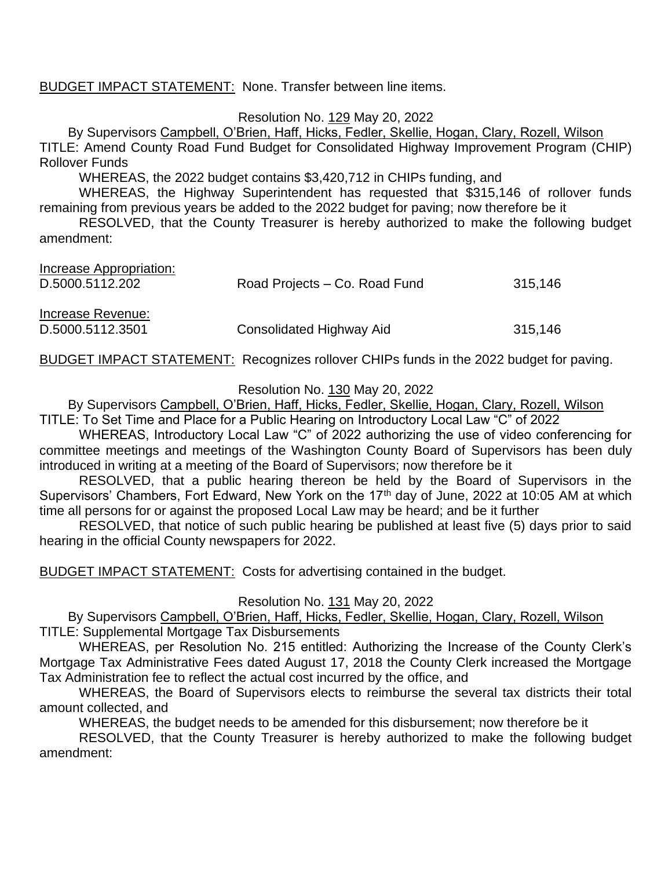## BUDGET IMPACT STATEMENT: None. Transfer between line items.

Resolution No. 129 May 20, 2022

By Supervisors Campbell, O'Brien, Haff, Hicks, Fedler, Skellie, Hogan, Clary, Rozell, Wilson TITLE: Amend County Road Fund Budget for Consolidated Highway Improvement Program (CHIP) Rollover Funds

WHEREAS, the 2022 budget contains \$3,420,712 in CHIPs funding, and

WHEREAS, the Highway Superintendent has requested that \$315,146 of rollover funds remaining from previous years be added to the 2022 budget for paving; now therefore be it

RESOLVED, that the County Treasurer is hereby authorized to make the following budget amendment:

| Road Projects – Co. Road Fund | 315,146 |
|-------------------------------|---------|
|                               |         |
|                               |         |
| Consolidated Highway Aid      | 315.146 |
|                               |         |

BUDGET IMPACT STATEMENT: Recognizes rollover CHIPs funds in the 2022 budget for paving.

### Resolution No. 130 May 20, 2022

By Supervisors Campbell, O'Brien, Haff, Hicks, Fedler, Skellie, Hogan, Clary, Rozell, Wilson TITLE: To Set Time and Place for a Public Hearing on Introductory Local Law "C" of 2022

WHEREAS, Introductory Local Law "C" of 2022 authorizing the use of video conferencing for committee meetings and meetings of the Washington County Board of Supervisors has been duly introduced in writing at a meeting of the Board of Supervisors; now therefore be it

RESOLVED, that a public hearing thereon be held by the Board of Supervisors in the Supervisors' Chambers, Fort Edward, New York on the 17<sup>th</sup> day of June, 2022 at 10:05 AM at which time all persons for or against the proposed Local Law may be heard; and be it further

RESOLVED, that notice of such public hearing be published at least five (5) days prior to said hearing in the official County newspapers for 2022.

BUDGET IMPACT STATEMENT: Costs for advertising contained in the budget.

Resolution No. 131 May 20, 2022

By Supervisors Campbell, O'Brien, Haff, Hicks, Fedler, Skellie, Hogan, Clary, Rozell, Wilson TITLE: Supplemental Mortgage Tax Disbursements

WHEREAS, per Resolution No. 215 entitled: Authorizing the Increase of the County Clerk's Mortgage Tax Administrative Fees dated August 17, 2018 the County Clerk increased the Mortgage Tax Administration fee to reflect the actual cost incurred by the office, and

WHEREAS, the Board of Supervisors elects to reimburse the several tax districts their total amount collected, and

WHEREAS, the budget needs to be amended for this disbursement; now therefore be it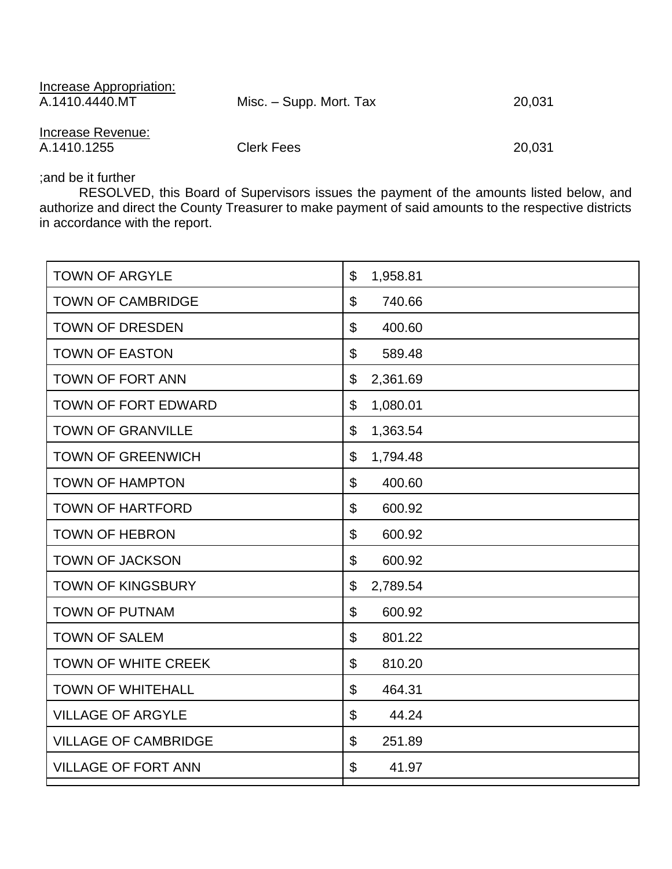| Increase Appropriation:<br>A.1410.4440.MT | Misc. – Supp. Mort. Tax | 20,031 |
|-------------------------------------------|-------------------------|--------|
| Increase Revenue:<br>A.1410.1255          | <b>Clerk Fees</b>       | 20,031 |

;and be it further

RESOLVED, this Board of Supervisors issues the payment of the amounts listed below, and authorize and direct the County Treasurer to make payment of said amounts to the respective districts in accordance with the report.

| <b>TOWN OF ARGYLE</b>       | \$<br>1,958.81                      |
|-----------------------------|-------------------------------------|
| <b>TOWN OF CAMBRIDGE</b>    | $\boldsymbol{\mathsf{S}}$<br>740.66 |
| <b>TOWN OF DRESDEN</b>      | \$<br>400.60                        |
| <b>TOWN OF EASTON</b>       | \$<br>589.48                        |
| <b>TOWN OF FORT ANN</b>     | \$<br>2,361.69                      |
| <b>TOWN OF FORT EDWARD</b>  | \$<br>1,080.01                      |
| <b>TOWN OF GRANVILLE</b>    | \$<br>1,363.54                      |
| <b>TOWN OF GREENWICH</b>    | \$<br>1,794.48                      |
| <b>TOWN OF HAMPTON</b>      | \$<br>400.60                        |
| <b>TOWN OF HARTFORD</b>     | \$<br>600.92                        |
| <b>TOWN OF HEBRON</b>       | \$<br>600.92                        |
| <b>TOWN OF JACKSON</b>      | \$<br>600.92                        |
| <b>TOWN OF KINGSBURY</b>    | \$<br>2,789.54                      |
| <b>TOWN OF PUTNAM</b>       | \$<br>600.92                        |
| <b>TOWN OF SALEM</b>        | \$<br>801.22                        |
| <b>TOWN OF WHITE CREEK</b>  | \$<br>810.20                        |
| <b>TOWN OF WHITEHALL</b>    | \$<br>464.31                        |
| <b>VILLAGE OF ARGYLE</b>    | \$<br>44.24                         |
| <b>VILLAGE OF CAMBRIDGE</b> | \$<br>251.89                        |
| <b>VILLAGE OF FORT ANN</b>  | \$<br>41.97                         |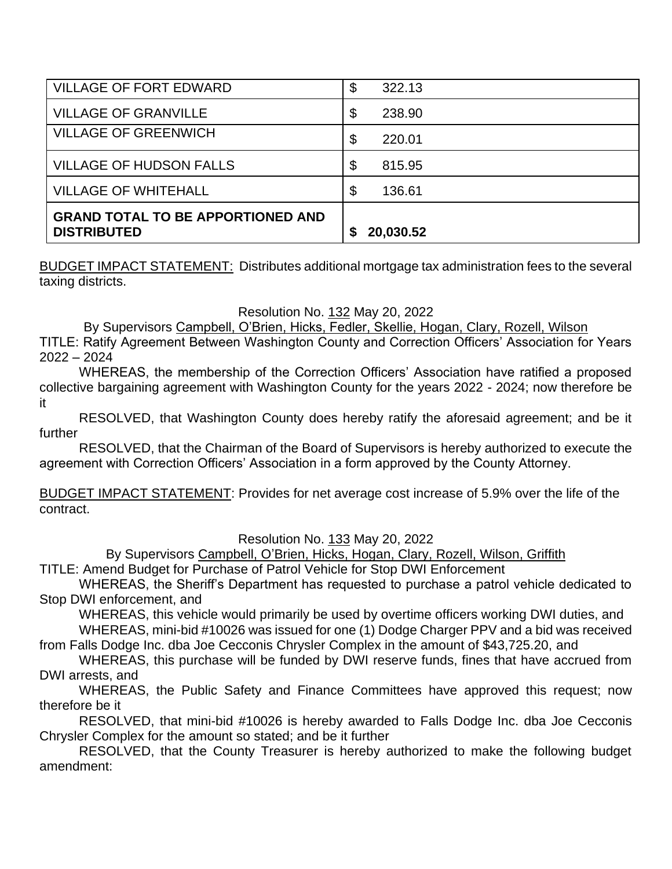| VILLAGE OF FORT EDWARD                                         | $\boldsymbol{\mathsf{S}}$<br>322.13 |
|----------------------------------------------------------------|-------------------------------------|
| <b>VILLAGE OF GRANVILLE</b>                                    | \$<br>238.90                        |
| <b>VILLAGE OF GREENWICH</b>                                    | \$<br>220.01                        |
| <b>VILLAGE OF HUDSON FALLS</b>                                 | \$<br>815.95                        |
| <b>VILLAGE OF WHITEHALL</b>                                    | \$<br>136.61                        |
| <b>GRAND TOTAL TO BE APPORTIONED AND</b><br><b>DISTRIBUTED</b> | 20,030.52                           |

BUDGET IMPACT STATEMENT: Distributes additional mortgage tax administration fees to the several taxing districts.

# Resolution No. 132 May 20, 2022

By Supervisors Campbell, O'Brien, Hicks, Fedler, Skellie, Hogan, Clary, Rozell, Wilson

TITLE: Ratify Agreement Between Washington County and Correction Officers' Association for Years 2022 – 2024

WHEREAS, the membership of the Correction Officers' Association have ratified a proposed collective bargaining agreement with Washington County for the years 2022 - 2024; now therefore be it

RESOLVED, that Washington County does hereby ratify the aforesaid agreement; and be it further

RESOLVED, that the Chairman of the Board of Supervisors is hereby authorized to execute the agreement with Correction Officers' Association in a form approved by the County Attorney.

BUDGET IMPACT STATEMENT: Provides for net average cost increase of 5.9% over the life of the contract.

## Resolution No. 133 May 20, 2022

By Supervisors Campbell, O'Brien, Hicks, Hogan, Clary, Rozell, Wilson, Griffith

TITLE: Amend Budget for Purchase of Patrol Vehicle for Stop DWI Enforcement

WHEREAS, the Sheriff's Department has requested to purchase a patrol vehicle dedicated to Stop DWI enforcement, and

WHEREAS, this vehicle would primarily be used by overtime officers working DWI duties, and WHEREAS, mini-bid #10026 was issued for one (1) Dodge Charger PPV and a bid was received

from Falls Dodge Inc. dba Joe Cecconis Chrysler Complex in the amount of \$43,725.20, and

WHEREAS, this purchase will be funded by DWI reserve funds, fines that have accrued from DWI arrests, and

WHEREAS, the Public Safety and Finance Committees have approved this request; now therefore be it

RESOLVED, that mini-bid #10026 is hereby awarded to Falls Dodge Inc. dba Joe Cecconis Chrysler Complex for the amount so stated; and be it further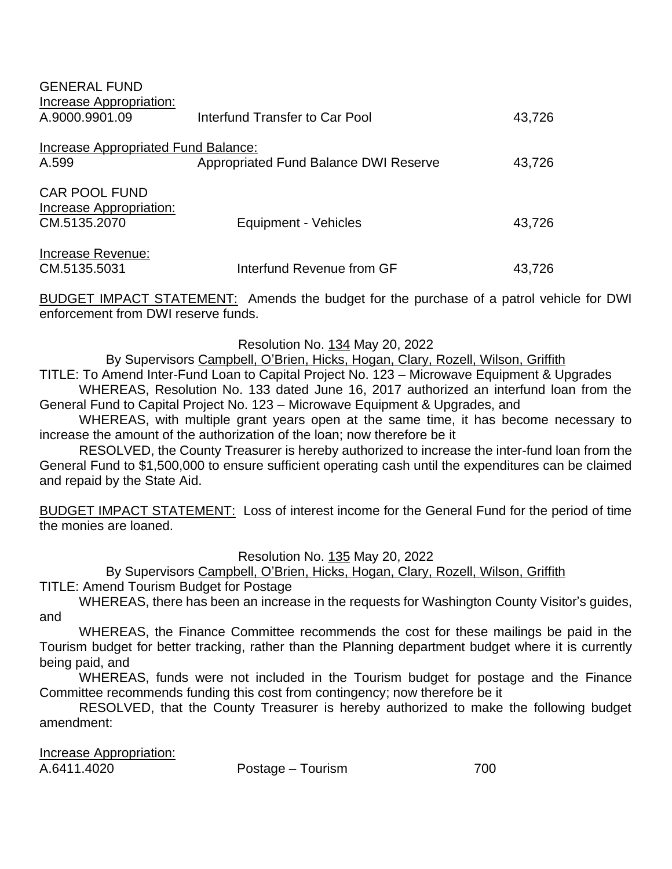| <b>GENERAL FUND</b><br>Increase Appropriation:                  |                                       |        |
|-----------------------------------------------------------------|---------------------------------------|--------|
| A.9000.9901.09                                                  | Interfund Transfer to Car Pool        | 43,726 |
| Increase Appropriated Fund Balance:<br>A.599                    | Appropriated Fund Balance DWI Reserve | 43,726 |
| <b>CAR POOL FUND</b><br>Increase Appropriation:<br>CM.5135.2070 | Equipment - Vehicles                  | 43,726 |
| Increase Revenue:<br>CM.5135.5031                               | Interfund Revenue from GF             | 43,726 |

BUDGET IMPACT STATEMENT: Amends the budget for the purchase of a patrol vehicle for DWI enforcement from DWI reserve funds.

## Resolution No. 134 May 20, 2022

By Supervisors Campbell, O'Brien, Hicks, Hogan, Clary, Rozell, Wilson, Griffith

TITLE: To Amend Inter-Fund Loan to Capital Project No. 123 – Microwave Equipment & Upgrades WHEREAS, Resolution No. 133 dated June 16, 2017 authorized an interfund loan from the General Fund to Capital Project No. 123 – Microwave Equipment & Upgrades, and

WHEREAS, with multiple grant years open at the same time, it has become necessary to increase the amount of the authorization of the loan; now therefore be it

RESOLVED, the County Treasurer is hereby authorized to increase the inter-fund loan from the General Fund to \$1,500,000 to ensure sufficient operating cash until the expenditures can be claimed and repaid by the State Aid.

BUDGET IMPACT STATEMENT: Loss of interest income for the General Fund for the period of time the monies are loaned.

Resolution No. 135 May 20, 2022

By Supervisors Campbell, O'Brien, Hicks, Hogan, Clary, Rozell, Wilson, Griffith

TITLE: Amend Tourism Budget for Postage

WHEREAS, there has been an increase in the requests for Washington County Visitor's guides, and

WHEREAS, the Finance Committee recommends the cost for these mailings be paid in the Tourism budget for better tracking, rather than the Planning department budget where it is currently being paid, and

WHEREAS, funds were not included in the Tourism budget for postage and the Finance Committee recommends funding this cost from contingency; now therefore be it

| Increase Appropriation: |                   |     |
|-------------------------|-------------------|-----|
| A.6411.4020             | Postage – Tourism | 700 |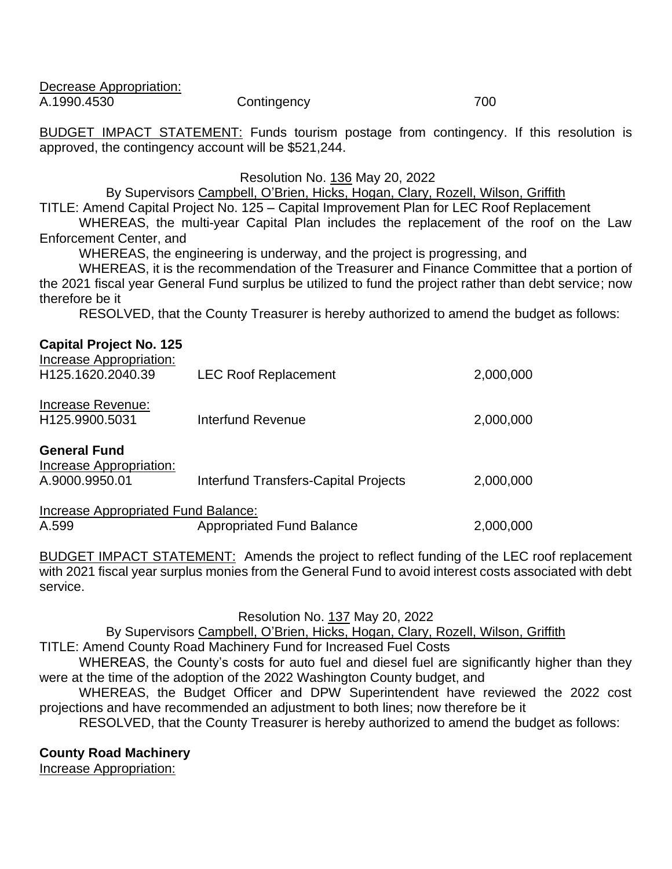| Decrease Appropriation: |             |     |
|-------------------------|-------------|-----|
| A.1990.4530             | Contingency | 700 |

BUDGET IMPACT STATEMENT: Funds tourism postage from contingency. If this resolution is approved, the contingency account will be \$521,244.

Resolution No. 136 May 20, 2022

By Supervisors Campbell, O'Brien, Hicks, Hogan, Clary, Rozell, Wilson, Griffith

TITLE: Amend Capital Project No. 125 – Capital Improvement Plan for LEC Roof Replacement WHEREAS, the multi-year Capital Plan includes the replacement of the roof on the Law

Enforcement Center, and

WHEREAS, the engineering is underway, and the project is progressing, and

WHEREAS, it is the recommendation of the Treasurer and Finance Committee that a portion of the 2021 fiscal year General Fund surplus be utilized to fund the project rather than debt service; now therefore be it

RESOLVED, that the County Treasurer is hereby authorized to amend the budget as follows:

| <b>Capital Project No. 125</b><br>Increase Appropriation: |                                             |           |  |
|-----------------------------------------------------------|---------------------------------------------|-----------|--|
| H <sub>125.1620.2040.39</sub>                             | <b>LEC Roof Replacement</b>                 | 2,000,000 |  |
| Increase Revenue:<br>H125.9900.5031                       | Interfund Revenue                           | 2,000,000 |  |
| <b>General Fund</b>                                       |                                             |           |  |
| Increase Appropriation:                                   |                                             |           |  |
| A.9000.9950.01                                            | <b>Interfund Transfers-Capital Projects</b> | 2,000,000 |  |
| Increase Appropriated Fund Balance:                       |                                             |           |  |
| A.599                                                     | <b>Appropriated Fund Balance</b>            | 2,000,000 |  |

BUDGET IMPACT STATEMENT: Amends the project to reflect funding of the LEC roof replacement with 2021 fiscal year surplus monies from the General Fund to avoid interest costs associated with debt service.

Resolution No. 137 May 20, 2022

By Supervisors Campbell, O'Brien, Hicks, Hogan, Clary, Rozell, Wilson, Griffith

TITLE: Amend County Road Machinery Fund for Increased Fuel Costs

WHEREAS, the County's costs for auto fuel and diesel fuel are significantly higher than they were at the time of the adoption of the 2022 Washington County budget, and

WHEREAS, the Budget Officer and DPW Superintendent have reviewed the 2022 cost projections and have recommended an adjustment to both lines; now therefore be it

RESOLVED, that the County Treasurer is hereby authorized to amend the budget as follows:

# **County Road Machinery**

Increase Appropriation: